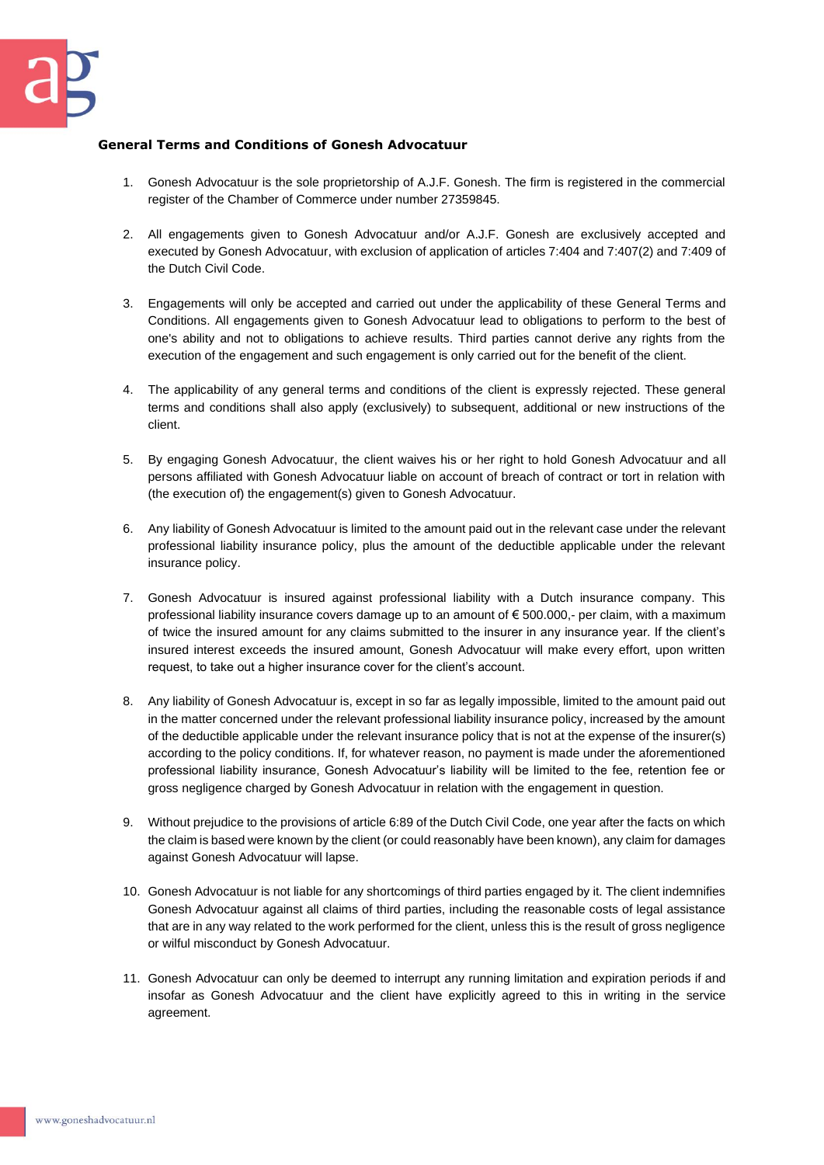## **General Terms and Conditions of Gonesh Advocatuur**

- 1. Gonesh Advocatuur is the sole proprietorship of A.J.F. Gonesh. The firm is registered in the commercial register of the Chamber of Commerce under number 27359845.
- 2. All engagements given to Gonesh Advocatuur and/or A.J.F. Gonesh are exclusively accepted and executed by Gonesh Advocatuur, with exclusion of application of articles 7:404 and 7:407(2) and 7:409 of the Dutch Civil Code.
- 3. Engagements will only be accepted and carried out under the applicability of these General Terms and Conditions. All engagements given to Gonesh Advocatuur lead to obligations to perform to the best of one's ability and not to obligations to achieve results. Third parties cannot derive any rights from the execution of the engagement and such engagement is only carried out for the benefit of the client.
- 4. The applicability of any general terms and conditions of the client is expressly rejected. These general terms and conditions shall also apply (exclusively) to subsequent, additional or new instructions of the client.
- 5. By engaging Gonesh Advocatuur, the client waives his or her right to hold Gonesh Advocatuur and all persons affiliated with Gonesh Advocatuur liable on account of breach of contract or tort in relation with (the execution of) the engagement(s) given to Gonesh Advocatuur.
- 6. Any liability of Gonesh Advocatuur is limited to the amount paid out in the relevant case under the relevant professional liability insurance policy, plus the amount of the deductible applicable under the relevant insurance policy.
- 7. Gonesh Advocatuur is insured against professional liability with a Dutch insurance company. This professional liability insurance covers damage up to an amount of € 500.000,- per claim, with a maximum of twice the insured amount for any claims submitted to the insurer in any insurance year. If the client's insured interest exceeds the insured amount, Gonesh Advocatuur will make every effort, upon written request, to take out a higher insurance cover for the client's account.
- 8. Any liability of Gonesh Advocatuur is, except in so far as legally impossible, limited to the amount paid out in the matter concerned under the relevant professional liability insurance policy, increased by the amount of the deductible applicable under the relevant insurance policy that is not at the expense of the insurer(s) according to the policy conditions. If, for whatever reason, no payment is made under the aforementioned professional liability insurance, Gonesh Advocatuur's liability will be limited to the fee, retention fee or gross negligence charged by Gonesh Advocatuur in relation with the engagement in question.
- 9. Without prejudice to the provisions of article 6:89 of the Dutch Civil Code, one year after the facts on which the claim is based were known by the client (or could reasonably have been known), any claim for damages against Gonesh Advocatuur will lapse.
- 10. Gonesh Advocatuur is not liable for any shortcomings of third parties engaged by it. The client indemnifies Gonesh Advocatuur against all claims of third parties, including the reasonable costs of legal assistance that are in any way related to the work performed for the client, unless this is the result of gross negligence or wilful misconduct by Gonesh Advocatuur.
- 11. Gonesh Advocatuur can only be deemed to interrupt any running limitation and expiration periods if and insofar as Gonesh Advocatuur and the client have explicitly agreed to this in writing in the service agreement.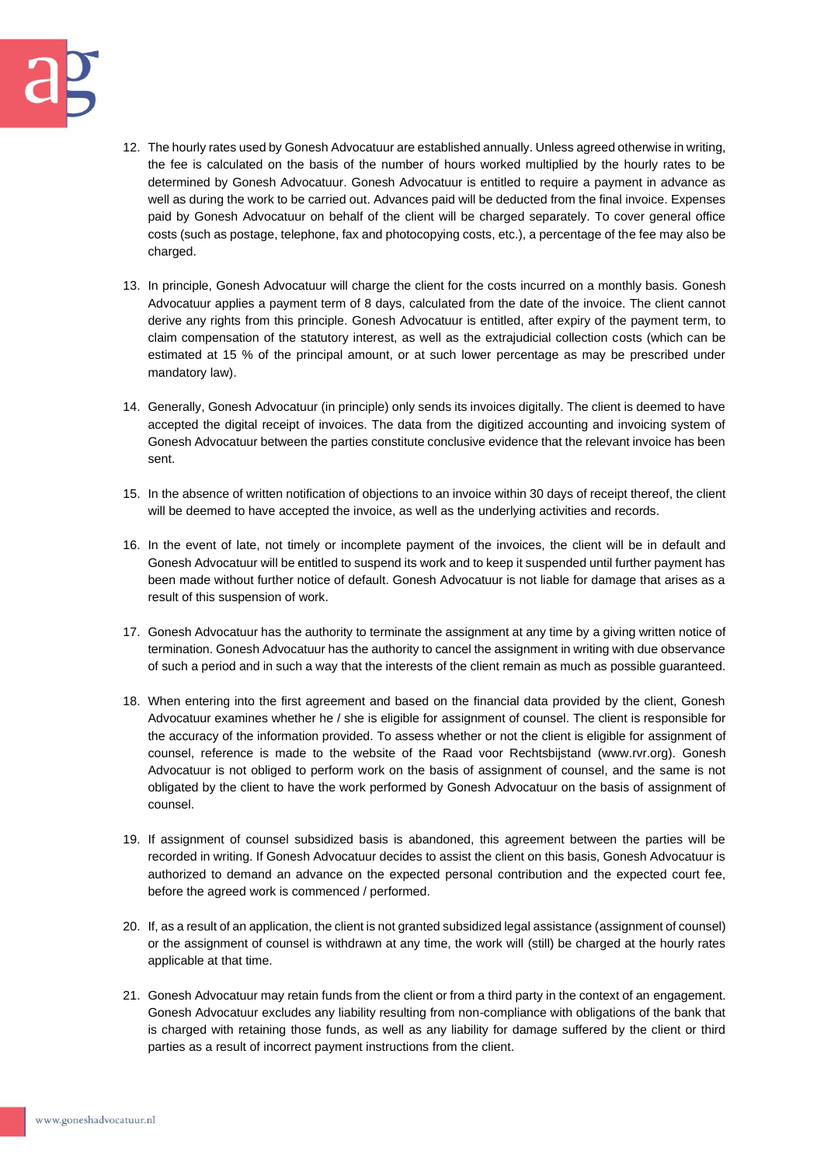

- 12. The hourly rates used by Gonesh Advocatuur are established annually. Unless agreed otherwise in writing, the fee is calculated on the basis of the number of hours worked multiplied by the hourly rates to be determined by Gonesh Advocatuur. Gonesh Advocatuur is entitled to require a payment in advance as well as during the work to be carried out. Advances paid will be deducted from the final invoice. Expenses paid by Gonesh Advocatuur on behalf of the client will be charged separately. To cover general office costs (such as postage, telephone, fax and photocopying costs, etc.), a percentage of the fee may also be charged.
- 13. In principle, Gonesh Advocatuur will charge the client for the costs incurred on a monthly basis. Gonesh Advocatuur applies a payment term of 8 days, calculated from the date of the invoice. The client cannot derive any rights from this principle. Gonesh Advocatuur is entitled, after expiry of the payment term, to claim compensation of the statutory interest, as well as the extrajudicial collection costs (which can be estimated at 15 % of the principal amount, or at such lower percentage as may be prescribed under mandatory law).
- 14. Generally, Gonesh Advocatuur (in principle) only sends its invoices digitally. The client is deemed to have accepted the digital receipt of invoices. The data from the digitized accounting and invoicing system of Gonesh Advocatuur between the parties constitute conclusive evidence that the relevant invoice has been sent.
- 15. In the absence of written notification of objections to an invoice within 30 days of receipt thereof, the client will be deemed to have accepted the invoice, as well as the underlying activities and records.
- 16. In the event of late, not timely or incomplete payment of the invoices, the client will be in default and Gonesh Advocatuur will be entitled to suspend its work and to keep it suspended until further payment has been made without further notice of default. Gonesh Advocatuur is not liable for damage that arises as a result of this suspension of work.
- 17. Gonesh Advocatuur has the authority to terminate the assignment at any time by a giving written notice of termination. Gonesh Advocatuur has the authority to cancel the assignment in writing with due observance of such a period and in such a way that the interests of the client remain as much as possible guaranteed.
- 18. When entering into the first agreement and based on the financial data provided by the client, Gonesh Advocatuur examines whether he / she is eligible for assignment of counsel. The client is responsible for the accuracy of the information provided. To assess whether or not the client is eligible for assignment of counsel, reference is made to the website of the Raad voor Rechtsbijstand (www.rvr.org). Gonesh Advocatuur is not obliged to perform work on the basis of assignment of counsel, and the same is not obligated by the client to have the work performed by Gonesh Advocatuur on the basis of assignment of counsel.
- 19. If assignment of counsel subsidized basis is abandoned, this agreement between the parties will be recorded in writing. If Gonesh Advocatuur decides to assist the client on this basis, Gonesh Advocatuur is authorized to demand an advance on the expected personal contribution and the expected court fee, before the agreed work is commenced / performed.
- 20. If, as a result of an application, the client is not granted subsidized legal assistance (assignment of counsel) or the assignment of counsel is withdrawn at any time, the work will (still) be charged at the hourly rates applicable at that time.
- 21. Gonesh Advocatuur may retain funds from the client or from a third party in the context of an engagement. Gonesh Advocatuur excludes any liability resulting from non-compliance with obligations of the bank that is charged with retaining those funds, as well as any liability for damage suffered by the client or third parties as a result of incorrect payment instructions from the client.